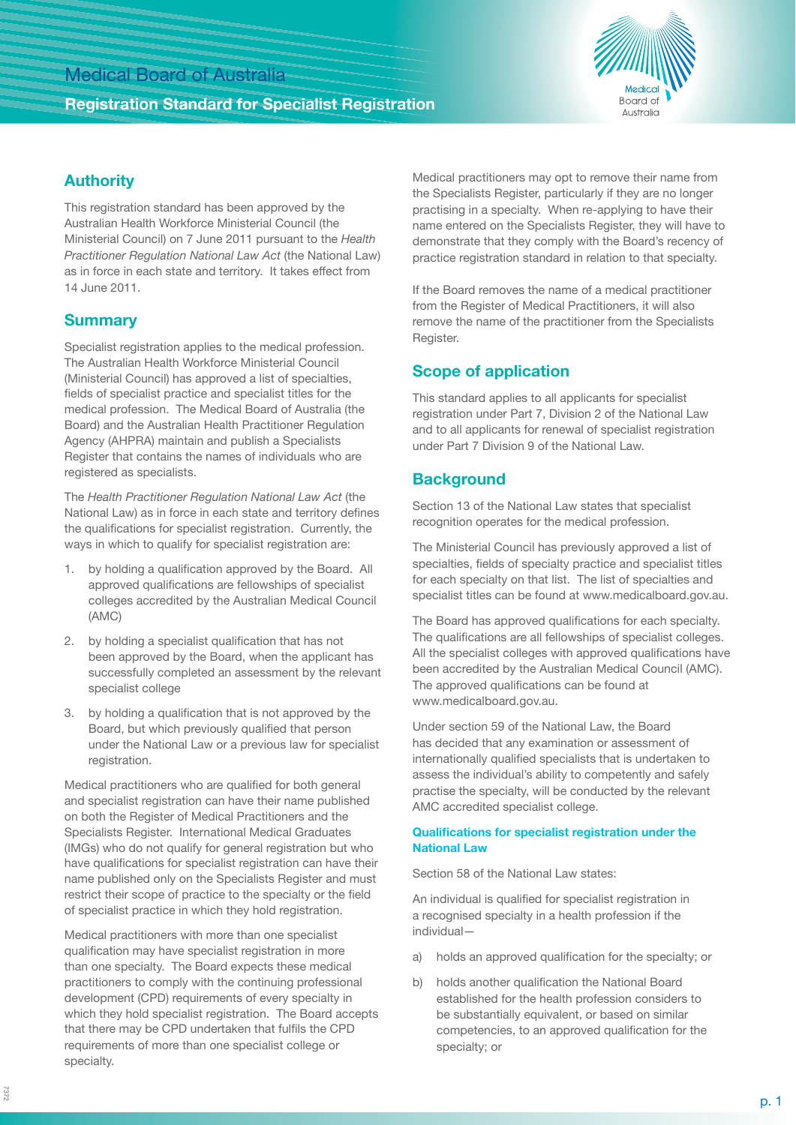## Medical Board of Australia

### **Registration Standard for Specialist Registration**



## **Authority**

This registration standard has been approved by the Australian Health Workforce Ministerial Council (the Ministerial Council) on 7 June 2011 pursuant to the *Health Practitioner Regulation National Law Act* (the National Law) as in force in each state and territory. It takes effect from 14 June 2011.

### **Summary**

Specialist registration applies to the medical profession. The Australian Health Workforce Ministerial Council (Ministerial Council) has approved a list of specialties, fields of specialist practice and specialist titles for the medical profession. The Medical Board of Australia (the Board) and the Australian Health Practitioner Regulation Agency (AHPRA) maintain and publish a Specialists Register that contains the names of individuals who are registered as specialists.

The *Health Practitioner Regulation National Law Act* (the National Law) as in force in each state and territory defines the qualifications for specialist registration. Currently, the ways in which to qualify for specialist registration are:

- by holding a qualification approved by the Board. All approved qualifications are fellowships of specialist colleges accredited by the Australian Medical Council (AMC)
- 2. by holding a specialist qualification that has not been approved by the Board, when the applicant has successfully completed an assessment by the relevant specialist college
- 3. by holding a qualification that is not approved by the Board, but which previously qualified that person under the National Law or a previous law for specialist registration.

Medical practitioners who are qualified for both general and specialist registration can have their name published on both the Register of Medical Practitioners and the Specialists Register. International Medical Graduates (IMGs) who do not qualify for general registration but who have qualifications for specialist registration can have their name published only on the Specialists Register and must restrict their scope of practice to the specialty or the field of specialist practice in which they hold registration.

Medical practitioners with more than one specialist qualification may have specialist registration in more than one specialty. The Board expects these medical practitioners to comply with the continuing professional development (CPD) requirements of every specialty in which they hold specialist registration. The Board accepts that there may be CPD undertaken that fulfils the CPD requirements of more than one specialist college or specialty.

Medical practitioners may opt to remove their name from the Specialists Register, particularly if they are no longer practising in a specialty. When re-applying to have their name entered on the Specialists Register, they will have to demonstrate that they comply with the Board's recency of practice registration standard in relation to that specialty.

If the Board removes the name of a medical practitioner from the Register of Medical Practitioners, it will also remove the name of the practitioner from the Specialists Register.

### **Scope of application**

This standard applies to all applicants for specialist registration under Part 7, Division 2 of the National Law and to all applicants for renewal of specialist registration under Part 7 Division 9 of the National Law.

## **Background**

Section 13 of the National Law states that specialist recognition operates for the medical profession.

The Ministerial Council has previously approved a list of specialties, fields of specialty practice and specialist titles for each specialty on that list. The list of specialties and specialist titles can be found at www.medicalboard.gov.au.

The Board has approved qualifications for each specialty. The qualifications are all fellowships of specialist colleges. All the specialist colleges with approved qualifications have been accredited by the Australian Medical Council (AMC). The approved qualifications can be found at www.medicalboard.gov.au.

Under section 59 of the National Law, the Board has decided that any examination or assessment of internationally qualified specialists that is undertaken to assess the individual's ability to competently and safely practise the specialty, will be conducted by the relevant AMC accredited specialist college.

#### **Qualifications for specialist registration under the National Law**

Section 58 of the National Law states:

An individual is qualified for specialist registration in a recognised specialty in a health profession if the individual—

- a) holds an approved qualification for the specialty; or
- b) holds another qualification the National Board established for the health profession considers to be substantially equivalent, or based on similar competencies, to an approved qualification for the specialty; or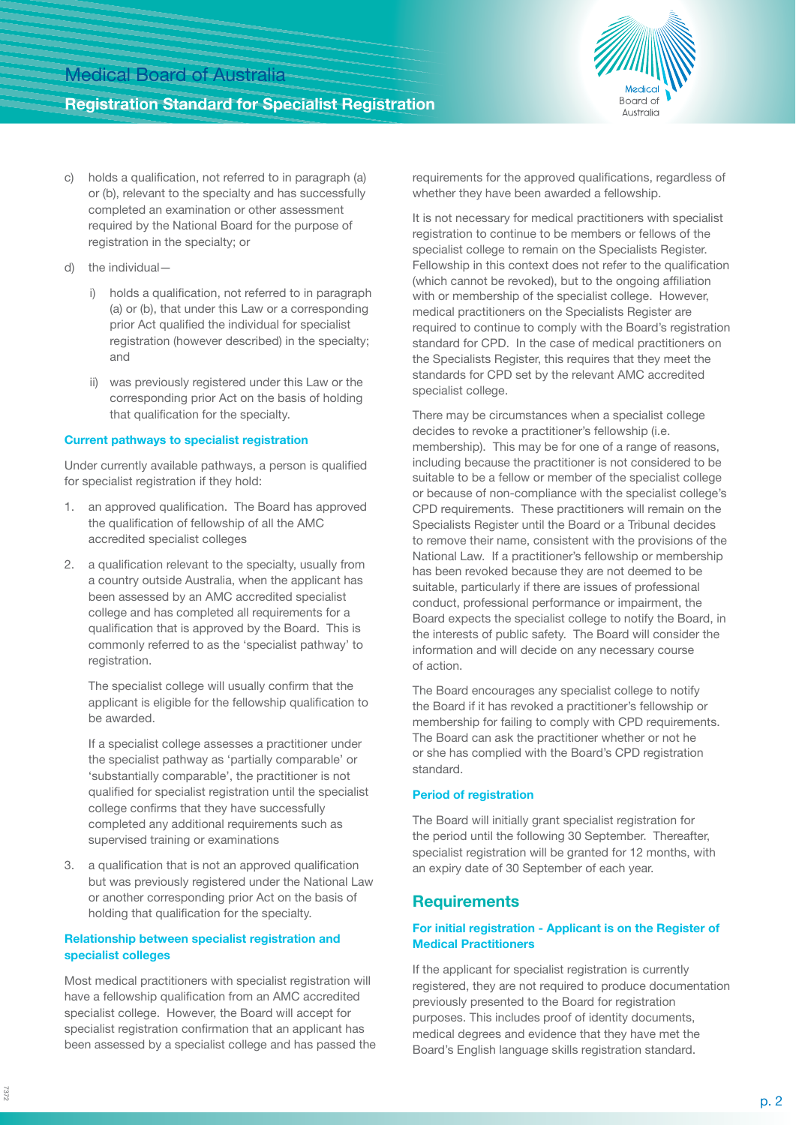## **Registration Standard for Specialist Registration**



- c) holds a qualification, not referred to in paragraph (a) or (b), relevant to the specialty and has successfully completed an examination or other assessment required by the National Board for the purpose of registration in the specialty; or
- d) the individual
	- i) holds a qualification, not referred to in paragraph (a) or (b), that under this Law or a corresponding prior Act qualified the individual for specialist registration (however described) in the specialty; and
	- ii) was previously registered under this Law or the corresponding prior Act on the basis of holding that qualification for the specialty.

#### **Current pathways to specialist registration**

Under currently available pathways, a person is qualified for specialist registration if they hold:

- 1. an approved qualification. The Board has approved the qualification of fellowship of all the AMC accredited specialist colleges
- 2. a qualification relevant to the specialty, usually from a country outside Australia, when the applicant has been assessed by an AMC accredited specialist college and has completed all requirements for a qualification that is approved by the Board. This is commonly referred to as the 'specialist pathway' to registration.

The specialist college will usually confirm that the applicant is eligible for the fellowship qualification to be awarded.

If a specialist college assesses a practitioner under the specialist pathway as 'partially comparable' or 'substantially comparable', the practitioner is not qualified for specialist registration until the specialist college confirms that they have successfully completed any additional requirements such as supervised training or examinations

3. a qualification that is not an approved qualification but was previously registered under the National Law or another corresponding prior Act on the basis of holding that qualification for the specialty.

#### **Relationship between specialist registration and specialist colleges**

Most medical practitioners with specialist registration will have a fellowship qualification from an AMC accredited specialist college. However, the Board will accept for specialist registration confirmation that an applicant has been assessed by a specialist college and has passed the requirements for the approved qualifications, regardless of whether they have been awarded a fellowship.

It is not necessary for medical practitioners with specialist registration to continue to be members or fellows of the specialist college to remain on the Specialists Register. Fellowship in this context does not refer to the qualification (which cannot be revoked), but to the ongoing affiliation with or membership of the specialist college. However, medical practitioners on the Specialists Register are required to continue to comply with the Board's registration standard for CPD. In the case of medical practitioners on the Specialists Register, this requires that they meet the standards for CPD set by the relevant AMC accredited specialist college.

There may be circumstances when a specialist college decides to revoke a practitioner's fellowship (i.e. membership). This may be for one of a range of reasons, including because the practitioner is not considered to be suitable to be a fellow or member of the specialist college or because of non-compliance with the specialist college's CPD requirements. These practitioners will remain on the Specialists Register until the Board or a Tribunal decides to remove their name, consistent with the provisions of the National Law. If a practitioner's fellowship or membership has been revoked because they are not deemed to be suitable, particularly if there are issues of professional conduct, professional performance or impairment, the Board expects the specialist college to notify the Board, in the interests of public safety. The Board will consider the information and will decide on any necessary course of action.

The Board encourages any specialist college to notify the Board if it has revoked a practitioner's fellowship or membership for failing to comply with CPD requirements. The Board can ask the practitioner whether or not he or she has complied with the Board's CPD registration standard.

### **Period of registration**

The Board will initially grant specialist registration for the period until the following 30 September. Thereafter, specialist registration will be granted for 12 months, with an expiry date of 30 September of each year.

## **Requirements**

#### **For initial registration - Applicant is on the Register of Medical Practitioners**

If the applicant for specialist registration is currently registered, they are not required to produce documentation previously presented to the Board for registration purposes. This includes proof of identity documents, medical degrees and evidence that they have met the Board's English language skills registration standard.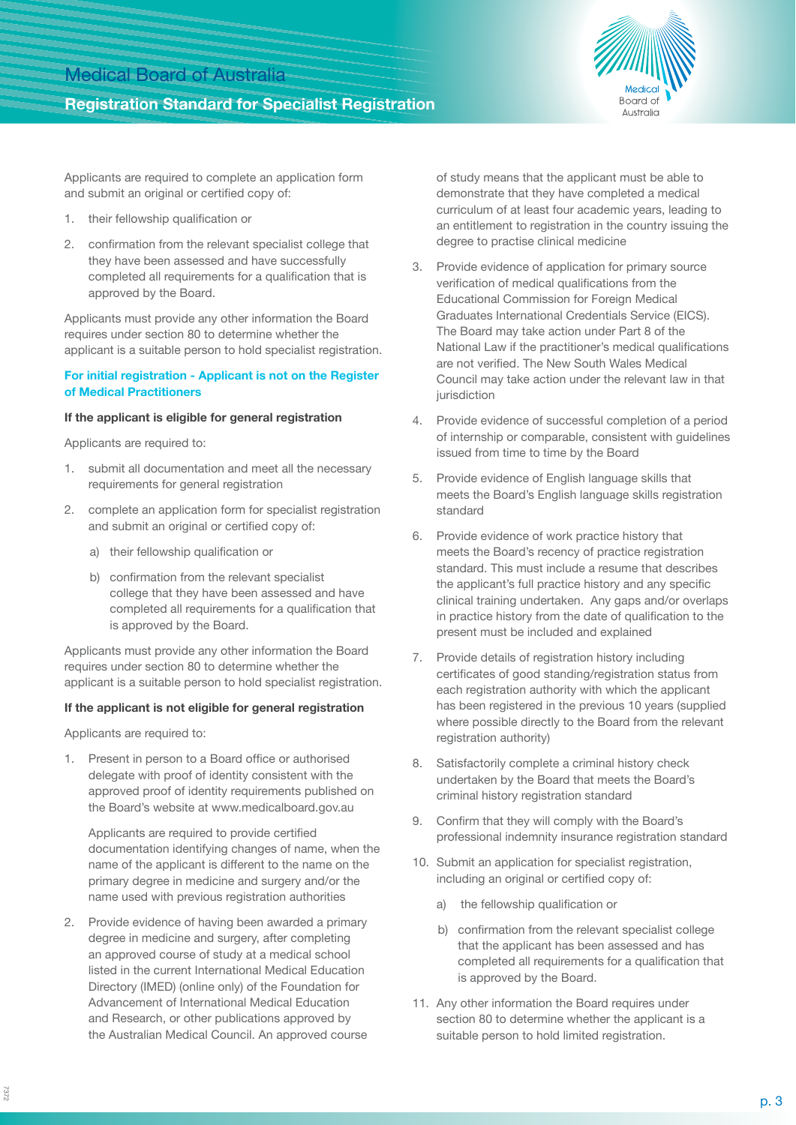# Medical Board of Australia

## **Registration Standard for Specialist Registration**



Applicants are required to complete an application form and submit an original or certified copy of:

- 1. their fellowship qualification or
- 2. confirmation from the relevant specialist college that they have been assessed and have successfully completed all requirements for a qualification that is approved by the Board.

Applicants must provide any other information the Board requires under section 80 to determine whether the applicant is a suitable person to hold specialist registration.

#### **For initial registration - Applicant is not on the Register of Medical Practitioners**

#### **If the applicant is eligible for general registration**

Applicants are required to:

- 1. submit all documentation and meet all the necessary requirements for general registration
- 2. complete an application form for specialist registration and submit an original or certified copy of:
	- a) their fellowship qualification or
	- b) confirmation from the relevant specialist college that they have been assessed and have completed all requirements for a qualification that is approved by the Board.

Applicants must provide any other information the Board requires under section 80 to determine whether the applicant is a suitable person to hold specialist registration.

#### **If the applicant is not eligible for general registration**

Applicants are required to:

1. Present in person to a Board office or authorised delegate with proof of identity consistent with the approved proof of identity requirements published on the Board's website at www.medicalboard.gov.au

Applicants are required to provide certified documentation identifying changes of name, when the name of the applicant is different to the name on the primary degree in medicine and surgery and/or the name used with previous registration authorities

2. Provide evidence of having been awarded a primary degree in medicine and surgery, after completing an approved course of study at a medical school listed in the current International Medical Education Directory (IMED) (online only) of the Foundation for Advancement of International Medical Education and Research, or other publications approved by the Australian Medical Council. An approved course of study means that the applicant must be able to demonstrate that they have completed a medical curriculum of at least four academic years, leading to an entitlement to registration in the country issuing the degree to practise clinical medicine

- 3. Provide evidence of application for primary source verification of medical qualifications from the Educational Commission for Foreign Medical Graduates International Credentials Service (EICS). The Board may take action under Part 8 of the National Law if the practitioner's medical qualifications are not verified. The New South Wales Medical Council may take action under the relevant law in that jurisdiction
- 4. Provide evidence of successful completion of a period of internship or comparable, consistent with guidelines issued from time to time by the Board
- 5. Provide evidence of English language skills that meets the Board's English language skills registration standard
- 6. Provide evidence of work practice history that meets the Board's recency of practice registration standard. This must include a resume that describes the applicant's full practice history and any specific clinical training undertaken. Any gaps and/or overlaps in practice history from the date of qualification to the present must be included and explained
- 7. Provide details of registration history including certificates of good standing/registration status from each registration authority with which the applicant has been registered in the previous 10 years (supplied where possible directly to the Board from the relevant registration authority)
- 8. Satisfactorily complete a criminal history check undertaken by the Board that meets the Board's criminal history registration standard
- 9. Confirm that they will comply with the Board's professional indemnity insurance registration standard
- 10. Submit an application for specialist registration. including an original or certified copy of:
	- a) the fellowship qualification or
	- b) confirmation from the relevant specialist college that the applicant has been assessed and has completed all requirements for a qualification that is approved by the Board.
- 11. Any other information the Board requires under section 80 to determine whether the applicant is a suitable person to hold limited registration.